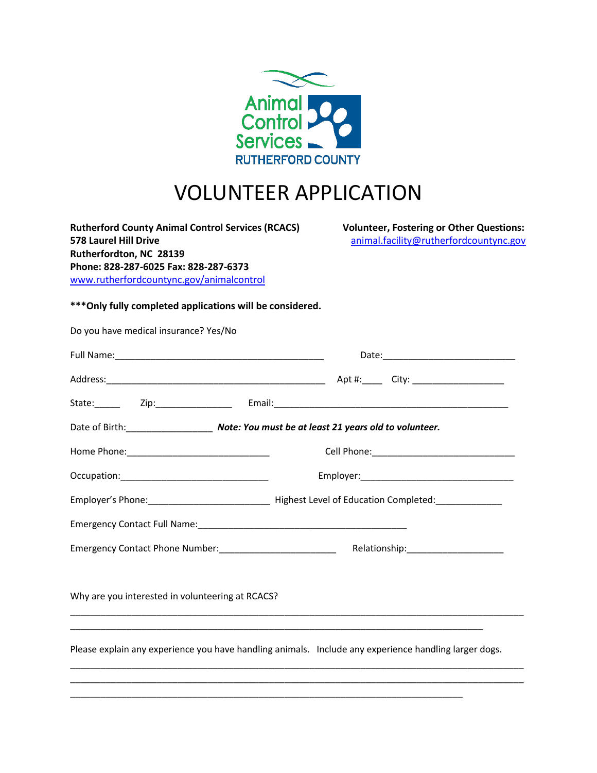

# VOLUNTEER APPLICATION

**Rutherford County Animal Control Services (RCACS) Volunteer, Fostering or Other Questions: 578 Laurel Hill Drive** [animal.facility@rutherfordcountync.gov](mailto:animal.facility@rutherfordcountync.gov) **Rutherfordton, NC 28139 Phone: 828-287-6025 Fax: 828-287-6373**  [www.rutherfordcountync.gov/animalcontrol](http://www.rutherfordcountync.gov/animalcontrol)

**\*\*\*Only fully completed applications will be considered.**

| Do you have medical insurance? Yes/No                                                                 |  |                                                             |  |                                     |  |  |  |  |
|-------------------------------------------------------------------------------------------------------|--|-------------------------------------------------------------|--|-------------------------------------|--|--|--|--|
|                                                                                                       |  |                                                             |  |                                     |  |  |  |  |
|                                                                                                       |  |                                                             |  |                                     |  |  |  |  |
|                                                                                                       |  |                                                             |  |                                     |  |  |  |  |
| Date of Birth: Note: You must be at least 21 years old to volunteer.                                  |  |                                                             |  |                                     |  |  |  |  |
|                                                                                                       |  |                                                             |  |                                     |  |  |  |  |
|                                                                                                       |  |                                                             |  |                                     |  |  |  |  |
|                                                                                                       |  |                                                             |  |                                     |  |  |  |  |
|                                                                                                       |  |                                                             |  |                                     |  |  |  |  |
|                                                                                                       |  | Emergency Contact Phone Number: ___________________________ |  | Relationship:______________________ |  |  |  |  |
|                                                                                                       |  |                                                             |  |                                     |  |  |  |  |
| Why are you interested in volunteering at RCACS?                                                      |  |                                                             |  |                                     |  |  |  |  |
|                                                                                                       |  |                                                             |  |                                     |  |  |  |  |
| Please explain any experience you have handling animals. Include any experience handling larger dogs. |  |                                                             |  |                                     |  |  |  |  |
|                                                                                                       |  |                                                             |  |                                     |  |  |  |  |
|                                                                                                       |  |                                                             |  |                                     |  |  |  |  |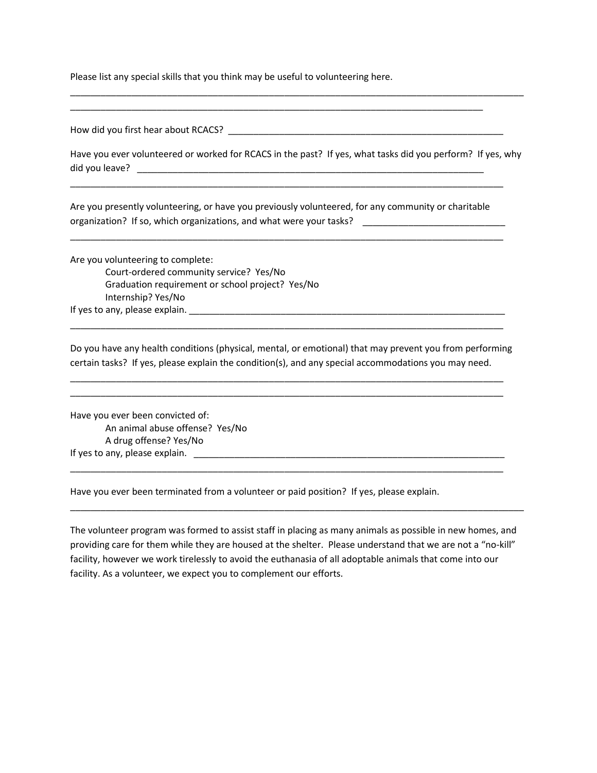Please list any special skills that you think may be useful to volunteering here.

How did you first hear about RCACS? \_\_\_\_\_\_\_\_\_\_\_\_\_\_\_\_\_\_\_\_\_\_\_\_\_\_\_\_\_\_\_\_\_\_\_\_\_\_\_\_\_\_\_\_\_\_\_\_\_\_\_\_\_\_

Have you ever volunteered or worked for RCACS in the past? If yes, what tasks did you perform? If yes, why did you leave? \_\_\_\_\_\_\_\_\_\_\_\_\_\_\_\_\_\_\_\_\_\_\_\_\_\_\_\_\_\_\_\_\_\_\_\_\_\_\_\_\_\_\_\_\_\_\_\_\_\_\_\_\_\_\_\_\_\_\_\_\_\_\_\_\_\_\_\_

\_\_\_\_\_\_\_\_\_\_\_\_\_\_\_\_\_\_\_\_\_\_\_\_\_\_\_\_\_\_\_\_\_\_\_\_\_\_\_\_\_\_\_\_\_\_\_\_\_\_\_\_\_\_\_\_\_\_\_\_\_\_\_\_\_\_\_\_\_\_\_\_\_\_\_\_\_\_\_\_\_\_\_\_\_\_\_\_\_

\_\_\_\_\_\_\_\_\_\_\_\_\_\_\_\_\_\_\_\_\_\_\_\_\_\_\_\_\_\_\_\_\_\_\_\_\_\_\_\_\_\_\_\_\_\_\_\_\_\_\_\_\_\_\_\_\_\_\_\_\_\_\_\_\_\_\_\_\_\_\_\_\_\_\_\_\_\_\_\_\_

Are you presently volunteering, or have you previously volunteered, for any community or charitable organization? If so, which organizations, and what were your tasks? \_\_\_\_\_\_\_\_\_\_\_\_\_\_\_\_\_\_\_

\_\_\_\_\_\_\_\_\_\_\_\_\_\_\_\_\_\_\_\_\_\_\_\_\_\_\_\_\_\_\_\_\_\_\_\_\_\_\_\_\_\_\_\_\_\_\_\_\_\_\_\_\_\_\_\_\_\_\_\_\_\_\_\_\_\_\_\_\_\_\_\_\_\_\_\_\_\_\_\_\_\_\_\_\_

\_\_\_\_\_\_\_\_\_\_\_\_\_\_\_\_\_\_\_\_\_\_\_\_\_\_\_\_\_\_\_\_\_\_\_\_\_\_\_\_\_\_\_\_\_\_\_\_\_\_\_\_\_\_\_\_\_\_\_\_\_\_\_\_\_\_\_\_\_\_\_\_\_\_\_\_\_\_\_\_\_\_\_\_\_

Are you volunteering to complete: Court-ordered community service? Yes/No Graduation requirement or school project? Yes/No Internship? Yes/No If yes to any, please explain. \_\_\_\_\_\_\_\_\_\_\_\_\_\_\_\_\_\_\_\_\_\_\_\_\_\_\_\_\_\_\_\_\_\_\_\_\_\_\_\_\_\_\_\_\_\_\_\_\_\_\_\_\_\_\_\_\_\_\_\_\_\_

Do you have any health conditions (physical, mental, or emotional) that may prevent you from performing certain tasks? If yes, please explain the condition(s), and any special accommodations you may need.

\_\_\_\_\_\_\_\_\_\_\_\_\_\_\_\_\_\_\_\_\_\_\_\_\_\_\_\_\_\_\_\_\_\_\_\_\_\_\_\_\_\_\_\_\_\_\_\_\_\_\_\_\_\_\_\_\_\_\_\_\_\_\_\_\_\_\_\_\_\_\_\_\_\_\_\_\_\_\_\_\_\_\_\_\_ \_\_\_\_\_\_\_\_\_\_\_\_\_\_\_\_\_\_\_\_\_\_\_\_\_\_\_\_\_\_\_\_\_\_\_\_\_\_\_\_\_\_\_\_\_\_\_\_\_\_\_\_\_\_\_\_\_\_\_\_\_\_\_\_\_\_\_\_\_\_\_\_\_\_\_\_\_\_\_\_\_\_\_\_\_

\_\_\_\_\_\_\_\_\_\_\_\_\_\_\_\_\_\_\_\_\_\_\_\_\_\_\_\_\_\_\_\_\_\_\_\_\_\_\_\_\_\_\_\_\_\_\_\_\_\_\_\_\_\_\_\_\_\_\_\_\_\_\_\_\_\_\_\_\_\_\_\_\_\_\_\_\_\_\_\_\_\_\_\_\_

\_\_\_\_\_\_\_\_\_\_\_\_\_\_\_\_\_\_\_\_\_\_\_\_\_\_\_\_\_\_\_\_\_\_\_\_\_\_\_\_\_\_\_\_\_\_\_\_\_\_\_\_\_\_\_\_\_\_\_\_\_\_\_\_\_\_\_\_\_\_\_\_\_\_\_\_\_\_\_\_\_\_\_\_\_

Have you ever been convicted of: An animal abuse offense? Yes/No A drug offense? Yes/No If yes to any, please explain. \_\_\_\_\_\_\_\_\_\_\_\_\_\_\_\_\_\_\_\_\_\_\_\_\_\_\_\_\_\_\_\_\_\_\_\_\_\_\_\_\_\_\_\_\_\_\_\_\_\_\_\_\_\_\_\_\_\_\_\_\_

Have you ever been terminated from a volunteer or paid position? If yes, please explain.

The volunteer program was formed to assist staff in placing as many animals as possible in new homes, and providing care for them while they are housed at the shelter. Please understand that we are not a "no-kill" facility, however we work tirelessly to avoid the euthanasia of all adoptable animals that come into our facility. As a volunteer, we expect you to complement our efforts.

\_\_\_\_\_\_\_\_\_\_\_\_\_\_\_\_\_\_\_\_\_\_\_\_\_\_\_\_\_\_\_\_\_\_\_\_\_\_\_\_\_\_\_\_\_\_\_\_\_\_\_\_\_\_\_\_\_\_\_\_\_\_\_\_\_\_\_\_\_\_\_\_\_\_\_\_\_\_\_\_\_\_\_\_\_\_\_\_\_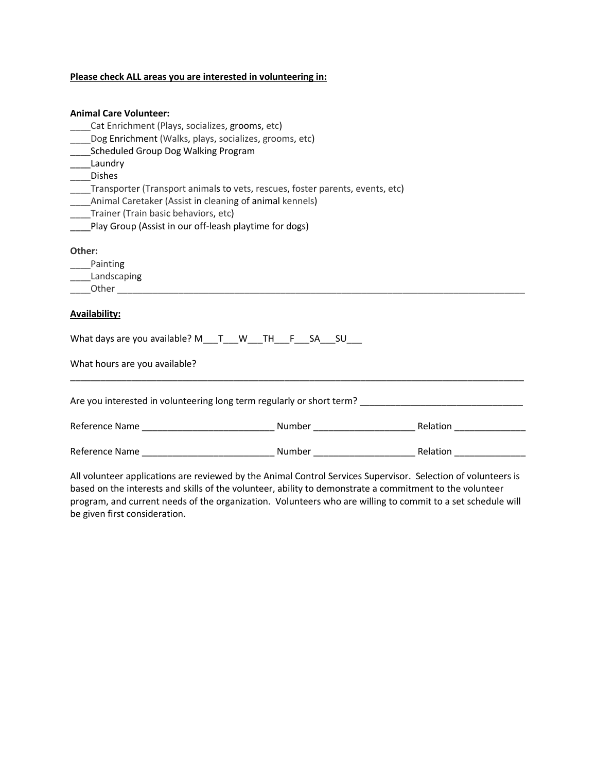#### **Please check ALL areas you are interested in volunteering in:**

#### **Animal Care Volunteer:**

- \_\_\_\_Cat Enrichment (Plays, socializes, grooms, etc)
- \_\_\_\_Dog Enrichment (Walks, plays, socializes, grooms, etc)
- \_\_\_\_Scheduled Group Dog Walking Program
- \_\_\_\_Laundry
- \_\_\_\_Dishes
- \_\_\_\_Transporter (Transport animals to vets, rescues, foster parents, events, etc)
- \_\_\_\_Animal Caretaker (Assist in cleaning of animal kennels)
- \_\_\_\_Trainer (Train basic behaviors, etc)
- Play Group (Assist in our off-leash playtime for dogs)

#### **Other:**

\_\_\_\_Painting

\_\_\_\_Landscaping

 $\rule{1em}{0}$  Other  $\rule{1em}{0}$ 

### **Availability:**

| What days are you available? M___T___W___TH___F___SA___SU_ |  |  |  |  |
|------------------------------------------------------------|--|--|--|--|
|                                                            |  |  |  |  |

| Are you interested in volunteering long term regularly or short term? |        |                 |  |  |  |  |
|-----------------------------------------------------------------------|--------|-----------------|--|--|--|--|
| Reference Name                                                        | Number | <b>Relation</b> |  |  |  |  |
| Reference Name                                                        | Number | Relation        |  |  |  |  |

\_\_\_\_\_\_\_\_\_\_\_\_\_\_\_\_\_\_\_\_\_\_\_\_\_\_\_\_\_\_\_\_\_\_\_\_\_\_\_\_\_\_\_\_\_\_\_\_\_\_\_\_\_\_\_\_\_\_\_\_\_\_\_\_\_\_\_\_\_\_\_\_\_\_\_\_\_\_\_\_\_\_\_\_\_\_\_\_\_

All volunteer applications are reviewed by the Animal Control Services Supervisor. Selection of volunteers is based on the interests and skills of the volunteer, ability to demonstrate a commitment to the volunteer program, and current needs of the organization. Volunteers who are willing to commit to a set schedule will be given first consideration.